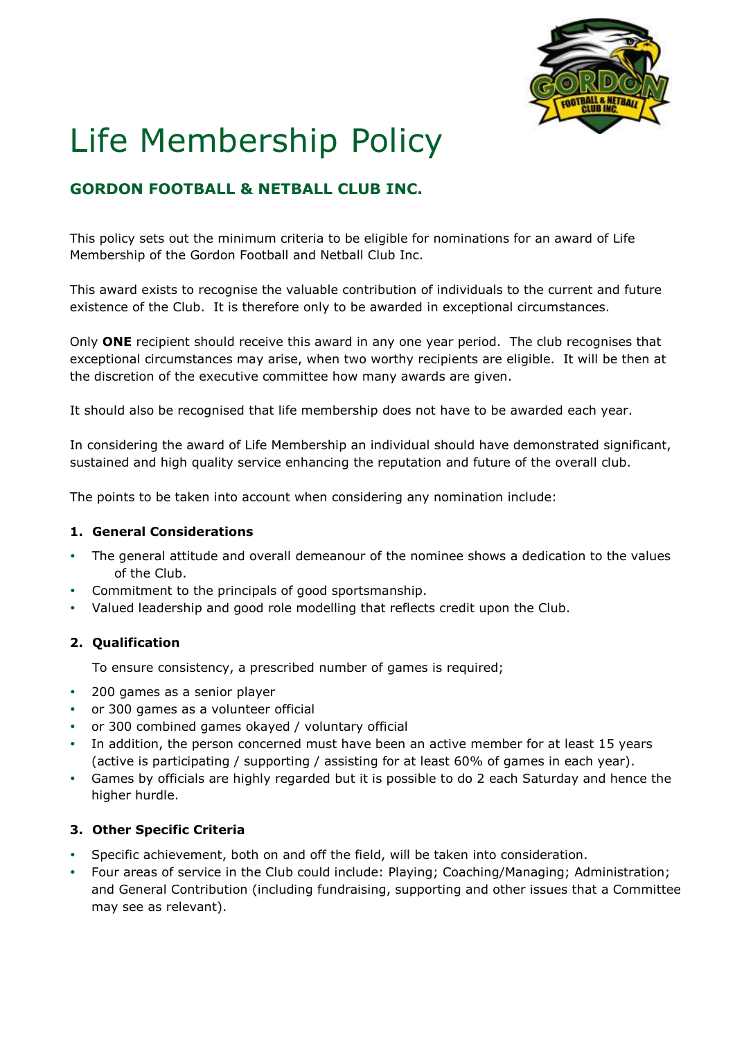

# Life Membership Policy

## **GORDON FOOTBALL & NETBALL CLUB INC.**

This policy sets out the minimum criteria to be eligible for nominations for an award of Life Membership of the Gordon Football and Netball Club Inc.

This award exists to recognise the valuable contribution of individuals to the current and future existence of the Club. It is therefore only to be awarded in exceptional circumstances.

Only **ONE** recipient should receive this award in any one year period. The club recognises that exceptional circumstances may arise, when two worthy recipients are eligible. It will be then at the discretion of the executive committee how many awards are given.

It should also be recognised that life membership does not have to be awarded each year.

In considering the award of Life Membership an individual should have demonstrated significant, sustained and high quality service enhancing the reputation and future of the overall club.

The points to be taken into account when considering any nomination include:

#### **1. General Considerations**

- The general attitude and overall demeanour of the nominee shows a dedication to the values of the Club.
- Commitment to the principals of good sportsmanship.
- Valued leadership and good role modelling that reflects credit upon the Club.

#### **2. Qualification**

To ensure consistency, a prescribed number of games is required;

- 200 games as a senior player
- or 300 games as a volunteer official
- or 300 combined games okayed / voluntary official
- In addition, the person concerned must have been an active member for at least 15 years (active is participating / supporting / assisting for at least 60% of games in each year).
- Games by officials are highly regarded but it is possible to do 2 each Saturday and hence the higher hurdle.

#### **3. Other Specific Criteria**

- Specific achievement, both on and off the field, will be taken into consideration.
- Four areas of service in the Club could include: Playing; Coaching/Managing; Administration; and General Contribution (including fundraising, supporting and other issues that a Committee may see as relevant).